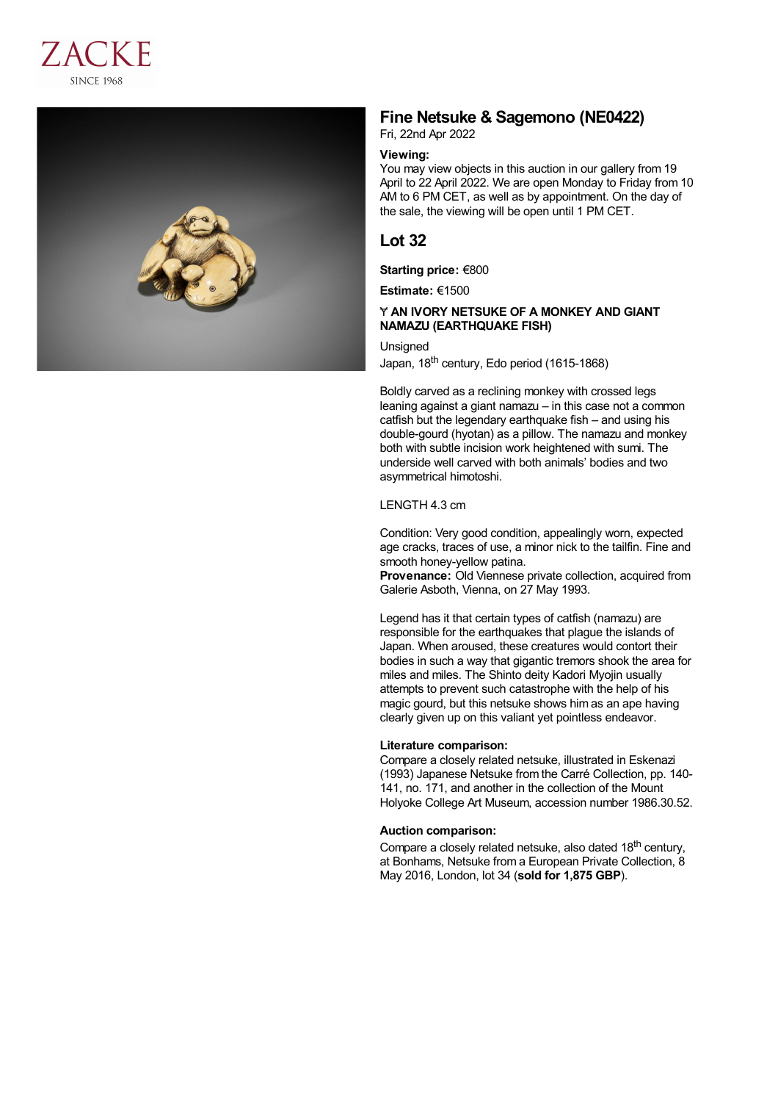



# **Fine Netsuke & Sagemono (NE0422)**

Fri, 22nd Apr 2022

## **Viewing:**

You may view objects in this auction in our gallery from 19 April to 22 April 2022. We are open Monday to Friday from 10 AM to 6 PM CET, as well as by appointment. On the day of the sale, the viewing will be open until 1 PM CET.

# **Lot 32**

**Starting price:** €800

**Estimate:** €1500

### Ɏ **AN IVORY NETSUKE OF A MONKEY AND GIANT NAMAZU (EARTHQUAKE FISH)**

#### **Unsigned**

Japan, 18<sup>th</sup> century, Edo period (1615-1868)

Boldly carved as a reclining monkey with crossed legs leaning against a giant namazu – in this case not a common catfish but the legendary earthquake fish – and using his double-gourd (hyotan) as a pillow. The namazu and monkey both with subtle incision work heightened with sumi. The underside well carved with both animals' bodies and two asymmetrical himotoshi.

#### LENGTH 4.3 cm

Condition: Very good condition, appealingly worn, expected age cracks, traces of use, a minor nick to the tailfin. Fine and smooth honey-yellow patina.

**Provenance:** Old Viennese private collection, acquired from Galerie Asboth, Vienna, on 27 May 1993.

Legend has it that certain types of catfish (namazu) are responsible for the earthquakes that plague the islands of Japan. When aroused, these creatures would contort their bodies in such a way that gigantic tremors shook the area for miles and miles. The Shinto deity Kadori Myojin usually attempts to prevent such catastrophe with the help of his magic gourd, but this netsuke shows him as an ape having clearly given up on this valiant yet pointless endeavor.

#### **Literature comparison:**

Compare a closely related netsuke, illustrated in Eskenazi (1993) Japanese Netsuke from the Carré Collection, pp. 140- 141, no. 171, and another in the collection of the Mount Holyoke College Art Museum, accession number 1986.30.52.

### **Auction comparison:**

Compare a closely related netsuke, also dated 18<sup>th</sup> century, at Bonhams, Netsuke from a European Private Collection, 8 May 2016, London, lot 34 (**sold for 1,875 GBP**).